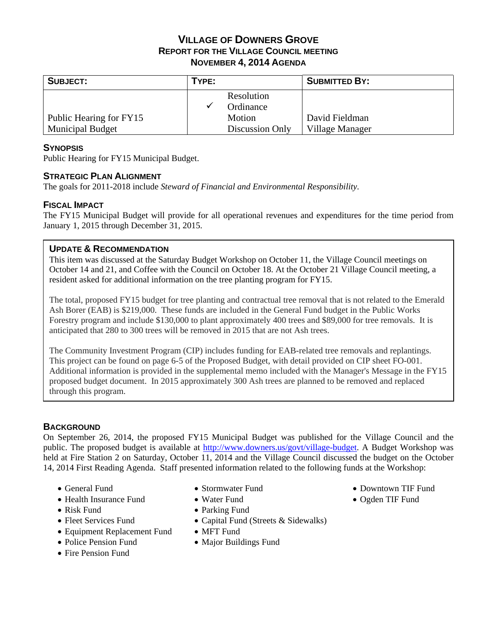# **VILLAGE OF DOWNERS GROVE REPORT FOR THE VILLAGE COUNCIL MEETING NOVEMBER 4, 2014 AGENDA**

| <b>SUBJECT:</b>         | TYPE: |                 | <b>SUBMITTED BY:</b> |
|-------------------------|-------|-----------------|----------------------|
|                         |       | Resolution      |                      |
|                         |       | Ordinance       |                      |
| Public Hearing for FY15 |       | Motion          | David Fieldman       |
| <b>Municipal Budget</b> |       | Discussion Only | Village Manager      |

## **SYNOPSIS**

Public Hearing for FY15 Municipal Budget.

## **STRATEGIC PLAN ALIGNMENT**

The goals for 2011-2018 include *Steward of Financial and Environmental Responsibility*.

### **FISCAL IMPACT**

The FY15 Municipal Budget will provide for all operational revenues and expenditures for the time period from January 1, 2015 through December 31, 2015.

### **UPDATE & RECOMMENDATION**

This item was discussed at the Saturday Budget Workshop on October 11, the Village Council meetings on October 14 and 21, and Coffee with the Council on October 18. At the October 21 Village Council meeting, a resident asked for additional information on the tree planting program for FY15.

The total, proposed FY15 budget for tree planting and contractual tree removal that is not related to the Emerald Ash Borer (EAB) is \$219,000. These funds are included in the General Fund budget in the Public Works Forestry program and include \$130,000 to plant approximately 400 trees and \$89,000 for tree removals. It is anticipated that 280 to 300 trees will be removed in 2015 that are not Ash trees.

The Community Investment Program (CIP) includes funding for EAB-related tree removals and replantings. This project can be found on page 6-5 of the Proposed Budget, with detail provided on CIP sheet FO-001. Additional information is provided in the supplemental memo included with the Manager's Message in the FY15 proposed budget document. In 2015 approximately 300 Ash trees are planned to be removed and replaced through this program.

## **BACKGROUND**

On September 26, 2014, the proposed FY15 Municipal Budget was published for the Village Council and the public. The proposed budget is available at http://www.downers.us/govt/village-budget. A Budget Workshop was held at Fire Station 2 on Saturday, October 11, 2014 and the Village Council discussed the budget on the October 14, 2014 First Reading Agenda. Staff presented information related to the following funds at the Workshop:

- General Fund
- Health Insurance Fund
- Risk Fund
- Fleet Services Fund
- Equipment Replacement Fund
- Police Pension Fund
- Fire Pension Fund
- Stormwater Fund
- Water Fund
- Parking Fund
- Capital Fund (Streets & Sidewalks)
- MFT Fund
- Major Buildings Fund
- Downtown TIF Fund
- Ogden TIF Fund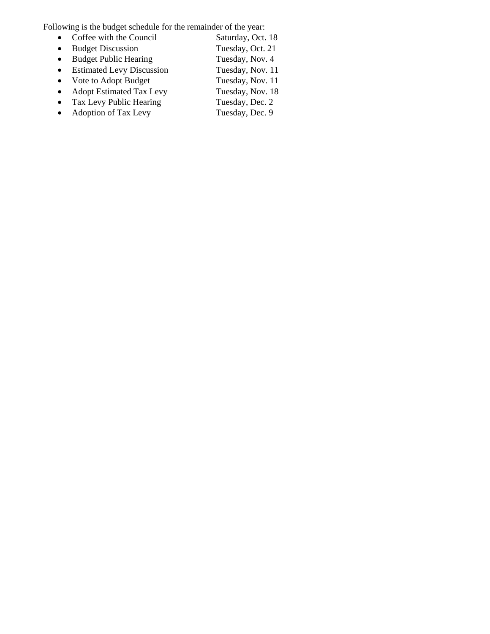Following is the budget schedule for the remainder of the year:<br>
• Coffee with the Council Saturday, Oct. 18

- Coffee with the Council Saturday, Oct. 18<br>• Budget Discussion Tuesday, Oct. 21
- 
- Budget Discussion Tuesday, Oct. 21<br>• Budget Public Hearing Tuesday, Nov. 4 • Budget Public Hearing Tuesday, Nov. 4<br>• Estimated Levy Discussion Tuesday, Nov. 11
- Estimated Levy Discussion Tuesday, Nov. 11<br>• Vote to Adopt Budget Tuesday, Nov. 11
- $\bullet$  Vote to Adopt Budget
- Adopt Estimated Tax Levy Tuesday, Nov. 18
- 
- Tax Levy Public Hearing Tuesday, Dec. 2
- Adoption of Tax Levy Tuesday, Dec. 9
-